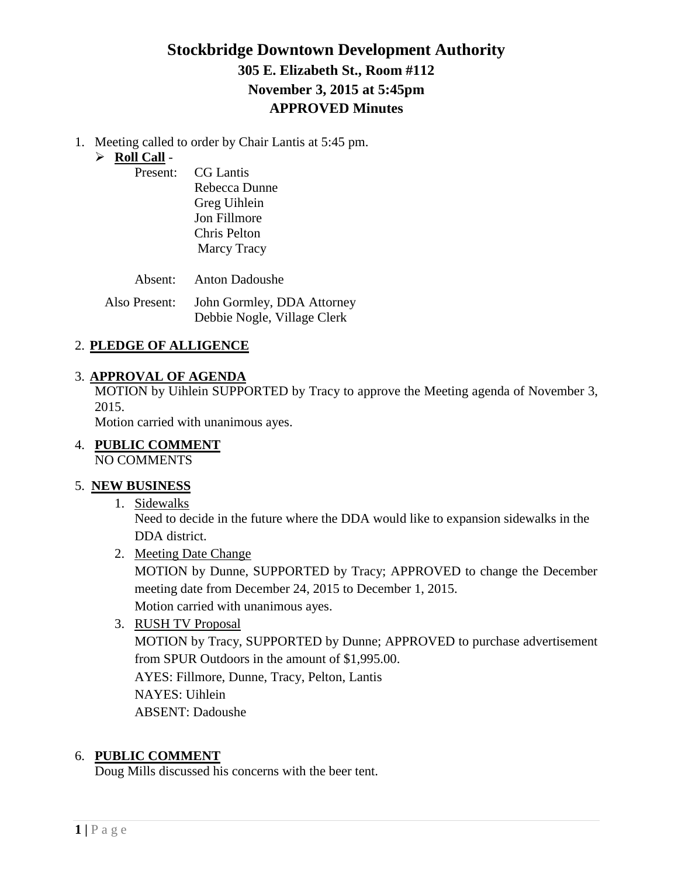# **Stockbridge Downtown Development Authority 305 E. Elizabeth St., Room #112 November 3, 2015 at 5:45pm APPROVED Minutes**

1. Meeting called to order by Chair Lantis at 5:45 pm.

# **Roll Call** -

Present:

| <b>CG</b> Lantis    |
|---------------------|
| Rebecca Dunne       |
| Greg Uihlein        |
| <b>Jon Fillmore</b> |
| Chris Pelton        |
| Marcy Tracy         |

Absent: Anton Dadoushe

Also Present: John Gormley, DDA Attorney Debbie Nogle, Village Clerk

# 2. **PLEDGE OF ALLIGENCE**

# 3. **APPROVAL OF AGENDA**

MOTION by Uihlein SUPPORTED by Tracy to approve the Meeting agenda of November 3, 2015.

Motion carried with unanimous ayes.

4. **PUBLIC COMMENT** NO COMMENTS

# 5. **NEW BUSINESS**

1. Sidewalks

Need to decide in the future where the DDA would like to expansion sidewalks in the DDA district.

2. Meeting Date Change

MOTION by Dunne, SUPPORTED by Tracy; APPROVED to change the December meeting date from December 24, 2015 to December 1, 2015.

Motion carried with unanimous ayes.

3. RUSH TV Proposal

MOTION by Tracy, SUPPORTED by Dunne; APPROVED to purchase advertisement from SPUR Outdoors in the amount of \$1,995.00.

AYES: Fillmore, Dunne, Tracy, Pelton, Lantis NAYES: Uihlein ABSENT: Dadoushe

### 6. **PUBLIC COMMENT**

Doug Mills discussed his concerns with the beer tent.